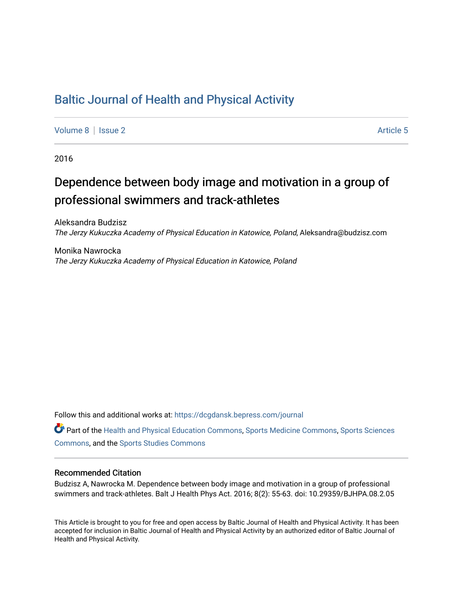## [Baltic Journal of Health and Physical Activity](https://dcgdansk.bepress.com/journal)

[Volume 8](https://dcgdansk.bepress.com/journal/vol8) | [Issue 2](https://dcgdansk.bepress.com/journal/vol8/iss2) Article 5

2016

## Dependence between body image and motivation in a group of professional swimmers and track-athletes

Aleksandra Budzisz The Jerzy Kukuczka Academy of Physical Education in Katowice, Poland, Aleksandra@budzisz.com

Monika Nawrocka The Jerzy Kukuczka Academy of Physical Education in Katowice, Poland

Follow this and additional works at: [https://dcgdansk.bepress.com/journal](https://dcgdansk.bepress.com/journal?utm_source=dcgdansk.bepress.com%2Fjournal%2Fvol8%2Fiss2%2F5&utm_medium=PDF&utm_campaign=PDFCoverPages)

Part of the [Health and Physical Education Commons](http://network.bepress.com/hgg/discipline/1327?utm_source=dcgdansk.bepress.com%2Fjournal%2Fvol8%2Fiss2%2F5&utm_medium=PDF&utm_campaign=PDFCoverPages), [Sports Medicine Commons,](http://network.bepress.com/hgg/discipline/1331?utm_source=dcgdansk.bepress.com%2Fjournal%2Fvol8%2Fiss2%2F5&utm_medium=PDF&utm_campaign=PDFCoverPages) [Sports Sciences](http://network.bepress.com/hgg/discipline/759?utm_source=dcgdansk.bepress.com%2Fjournal%2Fvol8%2Fiss2%2F5&utm_medium=PDF&utm_campaign=PDFCoverPages) [Commons](http://network.bepress.com/hgg/discipline/759?utm_source=dcgdansk.bepress.com%2Fjournal%2Fvol8%2Fiss2%2F5&utm_medium=PDF&utm_campaign=PDFCoverPages), and the [Sports Studies Commons](http://network.bepress.com/hgg/discipline/1198?utm_source=dcgdansk.bepress.com%2Fjournal%2Fvol8%2Fiss2%2F5&utm_medium=PDF&utm_campaign=PDFCoverPages) 

#### Recommended Citation

Budzisz A, Nawrocka M. Dependence between body image and motivation in a group of professional swimmers and track-athletes. Balt J Health Phys Act. 2016; 8(2): 55-63. doi: 10.29359/BJHPA.08.2.05

This Article is brought to you for free and open access by Baltic Journal of Health and Physical Activity. It has been accepted for inclusion in Baltic Journal of Health and Physical Activity by an authorized editor of Baltic Journal of Health and Physical Activity.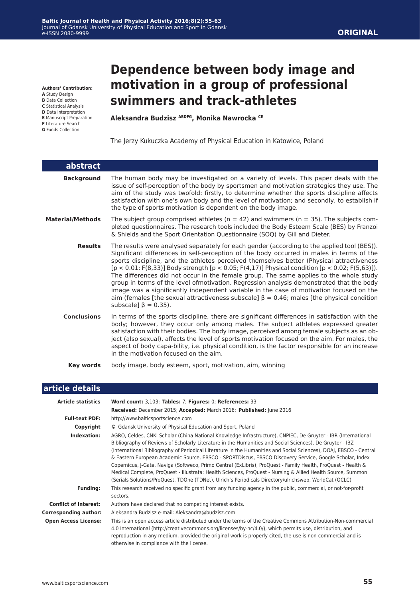**Authors' Contribution:**

- **A** Study Design
- **B** Data Collection **C** Statistical Analysis
- **D** Data Interpretation
- **E** Manuscript Preparation
- **F** Literature Search
- **G** Funds Collection

# **Dependence between body image and motivation in a group of professional swimmers and track-athletes**

**Aleksandra Budzisz ABDFG, Monika Nawrocka CE**

The Jerzy Kukuczka Academy of Physical Education in Katowice, Poland

| abstract                |                                                                                                                                                                                                                                                                                                                                                                                                                                                                                                                                                                                                                                                                                                                                                                                                                 |
|-------------------------|-----------------------------------------------------------------------------------------------------------------------------------------------------------------------------------------------------------------------------------------------------------------------------------------------------------------------------------------------------------------------------------------------------------------------------------------------------------------------------------------------------------------------------------------------------------------------------------------------------------------------------------------------------------------------------------------------------------------------------------------------------------------------------------------------------------------|
| <b>Background</b>       | The human body may be investigated on a variety of levels. This paper deals with the<br>issue of self-perception of the body by sportsmen and motivation strategies they use. The<br>aim of the study was twofold: firstly, to determine whether the sports discipline affects<br>satisfaction with one's own body and the level of motivation; and secondly, to establish if<br>the type of sports motivation is dependent on the body image.                                                                                                                                                                                                                                                                                                                                                                  |
| <b>Material/Methods</b> | The subject group comprised athletes ( $n = 42$ ) and swimmers ( $n = 35$ ). The subjects com-<br>pleted questionnaires. The research tools included the Body Esteem Scale (BES) by Franzoi<br>& Shields and the Sport Orientation Questionnaire (SOQ) by Gill and Dieter.                                                                                                                                                                                                                                                                                                                                                                                                                                                                                                                                      |
| <b>Results</b>          | The results were analysed separately for each gender (according to the applied tool (BES)).<br>Significant differences in self-perception of the body occurred in males in terms of the<br>sports discipline, and the athletes perceived themselves better (Physical attractiveness<br>$[p < 0.01; F(8,33)]$ Body strength $[p < 0.05; F(4,17)]$ Physical condition $[p < 0.02; F(5,63)]$ .<br>The differences did not occur in the female group. The same applies to the whole study<br>group in terms of the level ofmotivation. Regression analysis demonstrated that the body<br>image was a significantly independent variable in the case of motivation focused on the<br>aim (females [the sexual attractiveness subscale] $\beta = 0.46$ ; males [the physical condition<br>subscale] $\beta = 0.35$ ). |
| <b>Conclusions</b>      | In terms of the sports discipline, there are significant differences in satisfaction with the<br>body; however, they occur only among males. The subject athletes expressed greater<br>satisfaction with their bodies. The body image, perceived among female subjects as an ob-<br>ject (also sexual), affects the level of sports motivation focused on the aim. For males, the<br>aspect of body capa-bility, i.e. physical condition, is the factor responsible for an increase<br>in the motivation focused on the aim.                                                                                                                                                                                                                                                                                    |
| Key words               | body image, body esteem, sport, motivation, aim, winning                                                                                                                                                                                                                                                                                                                                                                                                                                                                                                                                                                                                                                                                                                                                                        |

### **article details**

| <b>Article statistics</b>    | Word count: 3,103; Tables: 7; Figures: 0; References: 33                                                                                                                                                                                                                                                                                                                                                                                                                                                                                                                                                                                                                                                                                                                                             |
|------------------------------|------------------------------------------------------------------------------------------------------------------------------------------------------------------------------------------------------------------------------------------------------------------------------------------------------------------------------------------------------------------------------------------------------------------------------------------------------------------------------------------------------------------------------------------------------------------------------------------------------------------------------------------------------------------------------------------------------------------------------------------------------------------------------------------------------|
|                              | Received: December 2015; Accepted: March 2016; Published: June 2016                                                                                                                                                                                                                                                                                                                                                                                                                                                                                                                                                                                                                                                                                                                                  |
| <b>Full-text PDF:</b>        | http://www.balticsportscience.com                                                                                                                                                                                                                                                                                                                                                                                                                                                                                                                                                                                                                                                                                                                                                                    |
| Copyright                    | © Gdansk University of Physical Education and Sport, Poland                                                                                                                                                                                                                                                                                                                                                                                                                                                                                                                                                                                                                                                                                                                                          |
| Indexation:                  | AGRO, Celdes, CNKI Scholar (China National Knowledge Infrastructure), CNPIEC, De Gruyter - IBR (International<br>Bibliography of Reviews of Scholarly Literature in the Humanities and Social Sciences), De Gruyter - IBZ<br>(International Bibliography of Periodical Literature in the Humanities and Social Sciences), DOAJ, EBSCO - Central<br>& Eastern European Academic Source, EBSCO - SPORTDiscus, EBSCO Discovery Service, Google Scholar, Index<br>Copernicus, J-Gate, Naviga (Softweco, Primo Central (ExLibris), ProQuest - Family Health, ProQuest - Health &<br>Medical Complete, ProQuest - Illustrata: Health Sciences, ProQuest - Nursing & Allied Health Source, Summon<br>(Serials Solutions/ProQuest, TDOne (TDNet), Ulrich's Periodicals Directory/ulrichsweb, WorldCat (OCLC) |
| <b>Funding:</b>              | This research received no specific grant from any funding agency in the public, commercial, or not-for-profit<br>sectors.                                                                                                                                                                                                                                                                                                                                                                                                                                                                                                                                                                                                                                                                            |
| <b>Conflict of interest:</b> | Authors have declared that no competing interest exists.                                                                                                                                                                                                                                                                                                                                                                                                                                                                                                                                                                                                                                                                                                                                             |
| <b>Corresponding author:</b> | Aleksandra Budzisz e-mail: Aleksandra@budzisz.com                                                                                                                                                                                                                                                                                                                                                                                                                                                                                                                                                                                                                                                                                                                                                    |
| <b>Open Access License:</b>  | This is an open access article distributed under the terms of the Creative Commons Attribution-Non-commercial<br>4.0 International (http://creativecommons.org/licenses/by-nc/4.0/), which permits use, distribution, and<br>reproduction in any medium, provided the original work is properly cited, the use is non-commercial and is<br>otherwise in compliance with the license.                                                                                                                                                                                                                                                                                                                                                                                                                 |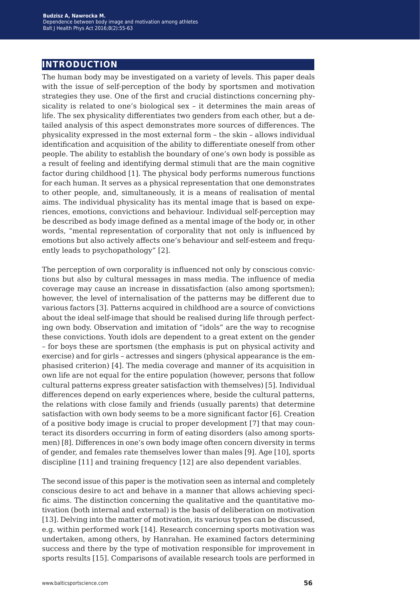## **introduction**

The human body may be investigated on a variety of levels. This paper deals with the issue of self-perception of the body by sportsmen and motivation strategies they use. One of the first and crucial distinctions concerning physicality is related to one's biological sex – it determines the main areas of life. The sex physicality differentiates two genders from each other, but a detailed analysis of this aspect demonstrates more sources of differences. The physicality expressed in the most external form – the skin – allows individual identification and acquisition of the ability to differentiate oneself from other people. The ability to establish the boundary of one's own body is possible as a result of feeling and identifying dermal stimuli that are the main cognitive factor during childhood [1]. The physical body performs numerous functions for each human. It serves as a physical representation that one demonstrates to other people, and, simultaneously, it is a means of realisation of mental aims. The individual physicality has its mental image that is based on experiences, emotions, convictions and behaviour. Individual self-perception may be described as body image defined as a mental image of the body or, in other words, "mental representation of corporality that not only is influenced by emotions but also actively affects one's behaviour and self-esteem and frequently leads to psychopathology" [2].

The perception of own corporality is influenced not only by conscious convictions but also by cultural messages in mass media. The influence of media coverage may cause an increase in dissatisfaction (also among sportsmen); however, the level of internalisation of the patterns may be different due to various factors [3]. Patterns acquired in childhood are a source of convictions about the ideal self-image that should be realised during life through perfecting own body. Observation and imitation of "idols" are the way to recognise these convictions. Youth idols are dependent to a great extent on the gender – for boys these are sportsmen (the emphasis is put on physical activity and exercise) and for girls – actresses and singers (physical appearance is the emphasised criterion) [4]. The media coverage and manner of its acquisition in own life are not equal for the entire population (however, persons that follow cultural patterns express greater satisfaction with themselves) [5]. Individual differences depend on early experiences where, beside the cultural patterns, the relations with close family and friends (usually parents) that determine satisfaction with own body seems to be a more significant factor [6]. Creation of a positive body image is crucial to proper development [7] that may counteract its disorders occurring in form of eating disorders (also among sportsmen) [8]. Differences in one's own body image often concern diversity in terms of gender, and females rate themselves lower than males [9]. Age [10], sports discipline [11] and training frequency [12] are also dependent variables.

The second issue of this paper is the motivation seen as internal and completely conscious desire to act and behave in a manner that allows achieving specific aims. The distinction concerning the qualitative and the quantitative motivation (both internal and external) is the basis of deliberation on motivation [13]. Delving into the matter of motivation, its various types can be discussed, e.g. within performed work [14]. Research concerning sports motivation was undertaken, among others, by Hanrahan. He examined factors determining success and there by the type of motivation responsible for improvement in sports results [15]. Comparisons of available research tools are performed in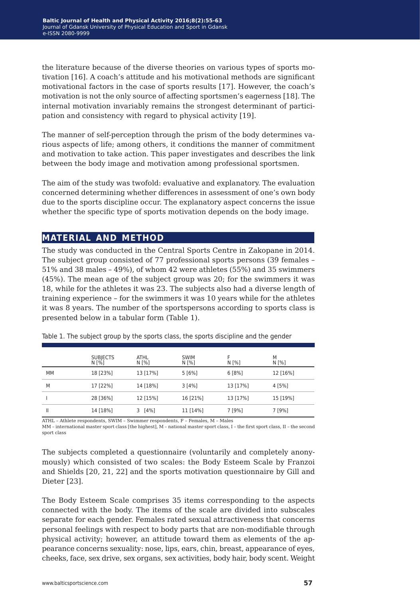the literature because of the diverse theories on various types of sports motivation [16]. A coach's attitude and his motivational methods are significant motivational factors in the case of sports results [17]. However, the coach's motivation is not the only source of affecting sportsmen's eagerness [18]. The internal motivation invariably remains the strongest determinant of participation and consistency with regard to physical activity [19].

The manner of self-perception through the prism of the body determines various aspects of life; among others, it conditions the manner of commitment and motivation to take action. This paper investigates and describes the link between the body image and motivation among professional sportsmen.

The aim of the study was twofold: evaluative and explanatory. The evaluation concerned determining whether differences in assessment of one's own body due to the sports discipline occur. The explanatory aspect concerns the issue whether the specific type of sports motivation depends on the body image.

### **material and method**

The study was conducted in the Central Sports Centre in Zakopane in 2014. The subject group consisted of 77 professional sports persons (39 females – 51% and 38 males – 49%), of whom 42 were athletes (55%) and 35 swimmers (45%). The mean age of the subject group was 20; for the swimmers it was 18, while for the athletes it was 23. The subjects also had a diverse length of training experience – for the swimmers it was 10 years while for the athletes it was 8 years. The number of the sportspersons according to sports class is presented below in a tabular form (Table 1).

|    | SUBJECTS<br>N [%] | ATHL<br>N [%] | <b>SWIM</b><br>N [%] | N [%]    | М<br>N [%] |
|----|-------------------|---------------|----------------------|----------|------------|
| MМ | 18 [23%]          | 13 [17%]      | 5[6%]                | 6[8%]    | 12 [16%]   |
| M  | 17 [22%]          | 14 [18%]      | 3[4%]                | 13 [17%] | 4 [5%]     |
|    | 28 [36%]          | 12 [15%]      | 16 [21%]             | 13 [17%] | 15 [19%]   |
|    | 14 [18%]          | $3 [4\%]$     | 11 [14%]             | 7 [9%]   | 7 [9%]     |

Table 1. The subject group by the sports class, the sports discipline and the gender

ATHL – Athlete respondents, SWIM – Swimmer respondents, F – Females, M – Males

MM – international master sport class [the highest], M – national master sport class, I – the first sport class, II – the second sport class

The subjects completed a questionnaire (voluntarily and completely anonymously) which consisted of two scales: the Body Esteem Scale by Franzoi and Shields [20, 21, 22] and the sports motivation questionnaire by Gill and Dieter [23].

The Body Esteem Scale comprises 35 items corresponding to the aspects connected with the body. The items of the scale are divided into subscales separate for each gender. Females rated sexual attractiveness that concerns personal feelings with respect to body parts that are non-modifiable through physical activity; however, an attitude toward them as elements of the appearance concerns sexuality: nose, lips, ears, chin, breast, appearance of eyes, cheeks, face, sex drive, sex organs, sex activities, body hair, body scent. Weight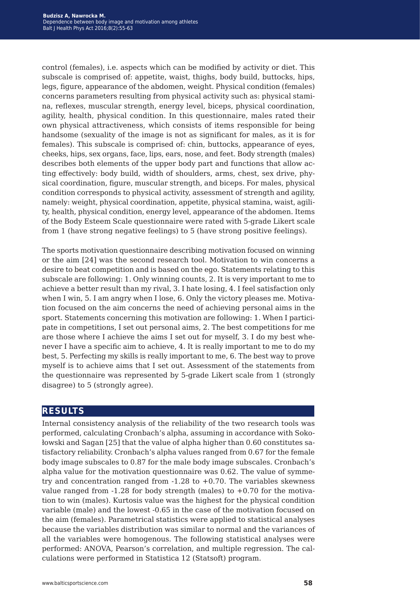control (females), i.e. aspects which can be modified by activity or diet. This subscale is comprised of: appetite, waist, thighs, body build, buttocks, hips, legs, figure, appearance of the abdomen, weight. Physical condition (females) concerns parameters resulting from physical activity such as: physical stamina, reflexes, muscular strength, energy level, biceps, physical coordination, agility, health, physical condition. In this questionnaire, males rated their own physical attractiveness, which consists of items responsible for being handsome (sexuality of the image is not as significant for males, as it is for females). This subscale is comprised of: chin, buttocks, appearance of eyes, cheeks, hips, sex organs, face, lips, ears, nose, and feet. Body strength (males) describes both elements of the upper body part and functions that allow acting effectively: body build, width of shoulders, arms, chest, sex drive, physical coordination, figure, muscular strength, and biceps. For males, physical condition corresponds to physical activity, assessment of strength and agility, namely: weight, physical coordination, appetite, physical stamina, waist, agility, health, physical condition, energy level, appearance of the abdomen. Items of the Body Esteem Scale questionnaire were rated with 5-grade Likert scale from 1 (have strong negative feelings) to 5 (have strong positive feelings).

The sports motivation questionnaire describing motivation focused on winning or the aim [24] was the second research tool. Motivation to win concerns a desire to beat competition and is based on the ego. Statements relating to this subscale are following: 1. Only winning counts, 2. It is very important to me to achieve a better result than my rival, 3. I hate losing, 4. I feel satisfaction only when I win, 5. I am angry when I lose, 6. Only the victory pleases me. Motivation focused on the aim concerns the need of achieving personal aims in the sport. Statements concerning this motivation are following: 1. When I participate in competitions, I set out personal aims, 2. The best competitions for me are those where I achieve the aims I set out for myself, 3. I do my best whenever I have a specific aim to achieve, 4. It is really important to me to do my best, 5. Perfecting my skills is really important to me, 6. The best way to prove myself is to achieve aims that I set out. Assessment of the statements from the questionnaire was represented by 5-grade Likert scale from 1 (strongly disagree) to 5 (strongly agree).

#### **results**

Internal consistency analysis of the reliability of the two research tools was performed, calculating Cronbach's alpha, assuming in accordance with Sokołowski and Sagan [25] that the value of alpha higher than 0.60 constitutes satisfactory reliability. Cronbach's alpha values ranged from 0.67 for the female body image subscales to 0.87 for the male body image subscales. Cronbach's alpha value for the motivation questionnaire was 0.62. The value of symmetry and concentration ranged from  $-1.28$  to  $+0.70$ . The variables skewness value ranged from  $-1.28$  for body strength (males) to  $+0.70$  for the motivation to win (males). Kurtosis value was the highest for the physical condition variable (male) and the lowest -0.65 in the case of the motivation focused on the aim (females). Parametrical statistics were applied to statistical analyses because the variables distribution was similar to normal and the variances of all the variables were homogenous. The following statistical analyses were performed: ANOVA, Pearson's correlation, and multiple regression. The calculations were performed in Statistica 12 (Statsoft) program.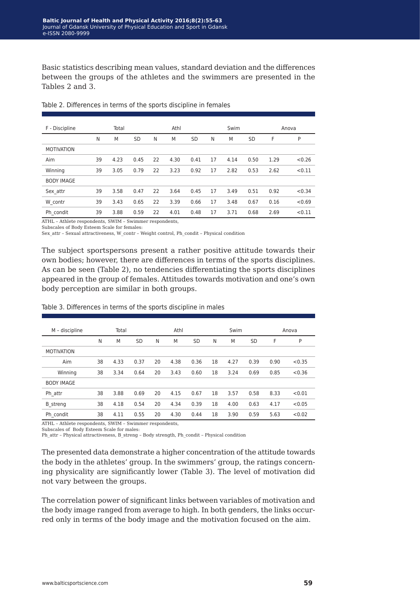Basic statistics describing mean values, standard deviation and the differences between the groups of the athletes and the swimmers are presented in the Tables 2 and 3.

| F - Discipline    |    | Total |           |    | Athl |           |    | Swim |           |      | Anova  |
|-------------------|----|-------|-----------|----|------|-----------|----|------|-----------|------|--------|
|                   | N  | M     | <b>SD</b> | N  | M    | <b>SD</b> | N  | M    | <b>SD</b> | F    | P      |
| <b>MOTIVATION</b> |    |       |           |    |      |           |    |      |           |      |        |
| Aim               | 39 | 4.23  | 0.45      | 22 | 4.30 | 0.41      | 17 | 4.14 | 0.50      | 1.29 | < 0.26 |
| Winning           | 39 | 3.05  | 0.79      | 22 | 3.23 | 0.92      | 17 | 2.82 | 0.53      | 2.62 | < 0.11 |
| <b>BODY IMAGE</b> |    |       |           |    |      |           |    |      |           |      |        |
| Sex attr          | 39 | 3.58  | 0.47      | 22 | 3.64 | 0.45      | 17 | 3.49 | 0.51      | 0.92 | < 0.34 |
| W contr           | 39 | 3.43  | 0.65      | 22 | 3.39 | 0.66      | 17 | 3.48 | 0.67      | 0.16 | < 0.69 |
| Ph condit         | 39 | 3.88  | 0.59      | 22 | 4.01 | 0.48      | 17 | 3.71 | 0.68      | 2.69 | < 0.11 |

Table 2. Differences in terms of the sports discipline in females

ATHL – Athlete respondents, SWIM – Swimmer respondents,

Subscales of Body Esteem Scale for females:

Sex\_attr – Sexual attractiveness, W\_contr – Weight control, Ph\_condit – Physical condition

The subject sportspersons present a rather positive attitude towards their own bodies; however, there are differences in terms of the sports disciplines. As can be seen (Table 2), no tendencies differentiating the sports disciplines appeared in the group of females. Attitudes towards motivation and one's own body perception are similar in both groups.

| M - discipline    |    | Total |           |    | Athl |           |    | Swim |           |      | Anova  |
|-------------------|----|-------|-----------|----|------|-----------|----|------|-----------|------|--------|
|                   | N  | M     | <b>SD</b> | N  | M    | <b>SD</b> | N  | M    | <b>SD</b> | F    | P      |
| <b>MOTIVATION</b> |    |       |           |    |      |           |    |      |           |      |        |
| Aim               | 38 | 4.33  | 0.37      | 20 | 4.38 | 0.36      | 18 | 4.27 | 0.39      | 0.90 | < 0.35 |
| Winning           | 38 | 3.34  | 0.64      | 20 | 3.43 | 0.60      | 18 | 3.24 | 0.69      | 0.85 | < 0.36 |
| <b>BODY IMAGE</b> |    |       |           |    |      |           |    |      |           |      |        |
| Ph attr           | 38 | 3.88  | 0.69      | 20 | 4.15 | 0.67      | 18 | 3.57 | 0.58      | 8.33 | < 0.01 |
| <b>B</b> streng   | 38 | 4.18  | 0.54      | 20 | 4.34 | 0.39      | 18 | 4.00 | 0.63      | 4.17 | < 0.05 |
| Ph condit         | 38 | 4.11  | 0.55      | 20 | 4.30 | 0.44      | 18 | 3.90 | 0.59      | 5.63 | < 0.02 |

Table 3. Differences in terms of the sports discipline in males

ATHL – Athlete respondents, SWIM – Swimmer respondents, Subscales of Body Esteem Scale for males:

Ph\_attr – Physical attractiveness, B\_streng – Body strength, Ph\_condit – Physical condition

The presented data demonstrate a higher concentration of the attitude towards the body in the athletes' group. In the swimmers' group, the ratings concerning physicality are significantly lower (Table 3). The level of motivation did not vary between the groups.

The correlation power of significant links between variables of motivation and the body image ranged from average to high. In both genders, the links occurred only in terms of the body image and the motivation focused on the aim.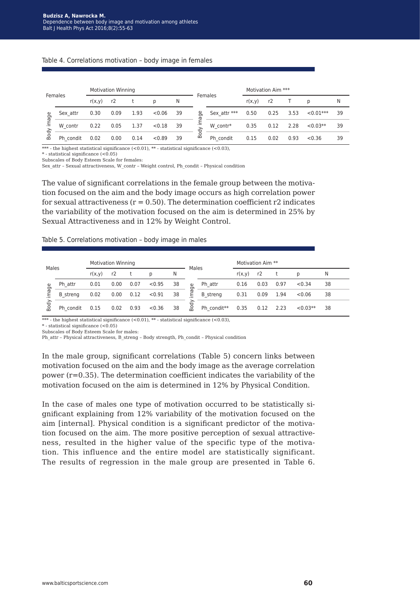#### Table 4. Correlations motivation – body image in females

|      |           |        | <b>Motivation Winning</b> |      |                   |    |              |              | Motivation Aim *** |      |      |            |    |
|------|-----------|--------|---------------------------|------|-------------------|----|--------------|--------------|--------------------|------|------|------------|----|
|      | Females   | r(x,y) | r2                        |      | Females<br>N<br>D |    | r(x,y)       | r2           |                    |      | N    |            |    |
| ჵ    | Sex attr  | 0.30   | 0.09                      | 1.93 | < 0.06            | 39 | age          | Sex attr *** | 0.50               | 0.25 | 3.53 | $<0.01***$ | 39 |
| ma   | W contr   | 0.22   | 0.05                      | 1.37 | < 0.18            | 39 | Ë<br>ody     | W contr*     | 0.35               | 0.12 | 2.28 | $< 0.03**$ | 39 |
| Body | Ph condit | 0.02   | 0.00                      | 0.14 | < 0.89            | 39 | $\mathbf{m}$ | Ph condit    | 0.15               | 0.02 | 0.93 | < 0.36     | 39 |

\*\*\* - the highest statistical significance  $(<0.01)$ , \*\* - statistical significance  $(<0.03)$ .

\* - statistical significance (<0.05)

Subscales of Body Esteem Scale for females:

Sex attr – Sexual attractiveness, W\_contr – Weight control, Ph\_condit – Physical condition

The value of significant correlations in the female group between the motivation focused on the aim and the body image occurs as high correlation power for sexual attractiveness ( $r = 0.50$ ). The determination coefficient r2 indicates the variability of the motivation focused on the aim is determined in 25% by Sexual Attractiveness and in 12% by Weight Control.

#### Table 5. Correlations motivation – body image in males

| <b>Motivation Winning</b><br>Males |                 |        |      | Males |        |    | Motivation Aim ** |                 |        |      |      |           |    |
|------------------------------------|-----------------|--------|------|-------|--------|----|-------------------|-----------------|--------|------|------|-----------|----|
|                                    |                 | r(x,y) | r2   |       | D      | N  |                   |                 | r(x,y) | r2   |      | D         | N  |
| ී.                                 | Ph attr         | 0.01   | 0.00 | 0.07  | < 0.95 | 38 | பூ                | Ph attr         | 0.16   | 0.03 | 0.97 | < 0.34    | 38 |
| Б                                  | <b>B</b> streng | 0.02   | 0.00 | 0.12  | < 0.91 | 38 | ma                | <b>B</b> streng | 0.31   | 0.09 | 1.94 | < 0.06    | 38 |
| ody                                | Ph condit       | 0.15   | 0.02 | 0.93  | < 0.36 | 38 | Body              | Ph condit**     | 0.35   | 0.12 | 2.23 | $<0.03**$ | 38 |

\*\*\* - the highest statistical significance (<0.01), \*\* - statistical significance (<0.03),

\* - statistical significance (<0.05)

Subscales of Body Esteem Scale for males:

Ph\_attr – Physical attractiveness, B\_streng – Body strength, Ph\_condit – Physical condition

In the male group, significant correlations (Table 5) concern links between motivation focused on the aim and the body image as the average correlation power  $(r=0.35)$ . The determination coefficient indicates the variability of the motivation focused on the aim is determined in 12% by Physical Condition.

In the case of males one type of motivation occurred to be statistically significant explaining from 12% variability of the motivation focused on the aim [internal]. Physical condition is a significant predictor of the motivation focused on the aim. The more positive perception of sexual attractiveness, resulted in the higher value of the specific type of the motivation. This influence and the entire model are statistically significant. The results of regression in the male group are presented in Table 6.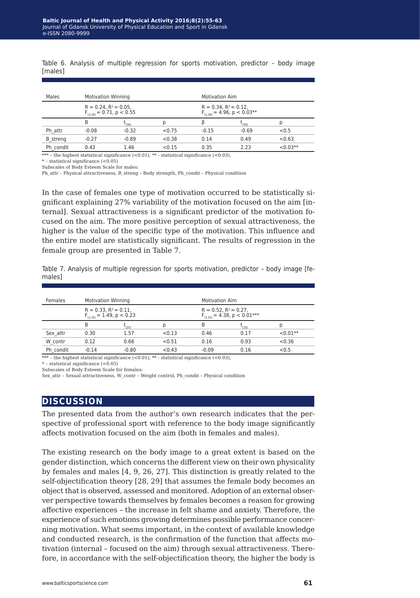Table 6. Analysis of multiple regression for sports motivation, predictor – body image [males]

| Males           | <b>Motivation Winning</b>   |                                |        |                             | <b>Motivation Aim</b>            |           |  |  |  |  |
|-----------------|-----------------------------|--------------------------------|--------|-----------------------------|----------------------------------|-----------|--|--|--|--|
|                 | $R = 0.24$ , $R^2 = 0.05$ , | $F_{(3,34)} = 0.71$ , p < 0.55 |        | $R = 0.34$ , $R^2 = 0.12$ , | $F_{(1,36)} = 4.96$ , p < 0.03** |           |  |  |  |  |
|                 | B                           | (36)                           |        |                             | 5(36)                            |           |  |  |  |  |
| Ph attr         | $-0.08$                     | $-0.32$                        | < 0.75 | $-0.15$                     | $-0.69$                          | < 0.5     |  |  |  |  |
| <b>B</b> streng | $-0.27$                     | $-0.89$                        | < 0.38 | 0.14                        | 0.49                             | < 0.63    |  |  |  |  |
| Ph condit       | 0.43                        | 1.46                           | < 0.15 | 0.35                        | 2.23                             | $<0.03**$ |  |  |  |  |

\*\*\* – the highest statistical significance  $(<0.01)$ , \*\* - statistical significance  $(<0.03)$ ,

\* – statistical significance (<0.05) Subscales of Body Esteem Scale for males:

Ph\_attr – Physical attractiveness, B\_streng – Body strength, Ph\_condit – Physical condition

In the case of females one type of motivation occurred to be statistically significant explaining 27% variability of the motivation focused on the aim [internal]. Sexual attractiveness is a significant predictor of the motivation focused on the aim. The more positive perception of sexual attractiveness, the higher is the value of the specific type of the motivation. This influence and the entire model are statistically significant. The results of regression in the female group are presented in Table 7.

Table 7. Analysis of multiple regression for sports motivation, predictor – body image [females]

| Females   | <b>Motivation Winning</b>   |                                |        |                                                                  | <b>Motivation Aim</b> |            |  |  |  |  |
|-----------|-----------------------------|--------------------------------|--------|------------------------------------------------------------------|-----------------------|------------|--|--|--|--|
|           | $R = 0.33$ , $R^2 = 0.11$ , | $F_{(3,35)} = 1.49$ , p < 0.23 |        | $R = 0.52$ , $R^2 = 0.27$ ,<br>$F_{(3,35)} = 4.38$ , p < 0.01*** |                       |            |  |  |  |  |
|           | В                           | 5(35)                          |        | B                                                                | 5(35)                 |            |  |  |  |  |
| Sex attr  | 0.30                        | 1.57                           | < 0.13 | 0.46                                                             | 0.17                  | $< 0.01**$ |  |  |  |  |
| W contr   | 0.12                        | 0.66                           | < 0.51 | 0.16                                                             | 0.93                  | < 0.36     |  |  |  |  |
| Ph condit | $-0.14$                     | $-0.80$                        | < 0.43 | $-0.09$                                                          | 0.16                  | < 0.5      |  |  |  |  |

\*\*\* – the highest statistical significance  $(<0.01)$ , \*\* - statistical significance  $(<0.03)$ ,

 $^{\ast}$  - statistical significance  $(<\!0.05)$ 

Subscales of Body Esteem Scale for females:

Sex\_attr – Sexual attractiveness, W\_contr – Weight control, Ph\_condit – Physical condition

### **discussion**

The presented data from the author's own research indicates that the perspective of professional sport with reference to the body image significantly affects motivation focused on the aim (both in females and males).

The existing research on the body image to a great extent is based on the gender distinction, which concerns the different view on their own physicality by females and males [4, 9, 26, 27]. This distinction is greatly related to the self-objectification theory [28, 29] that assumes the female body becomes an object that is observed, assessed and monitored. Adoption of an external observer perspective towards themselves by females becomes a reason for growing affective experiences – the increase in felt shame and anxiety. Therefore, the experience of such emotions growing determines possible performance concerning motivation. What seems important, in the context of available knowledge and conducted research, is the confirmation of the function that affects motivation (internal – focused on the aim) through sexual attractiveness. Therefore, in accordance with the self-objectification theory, the higher the body is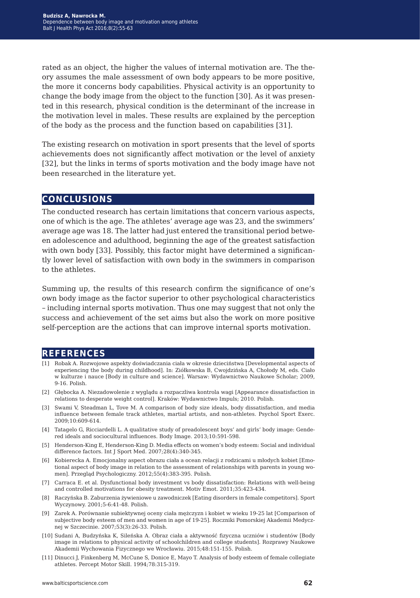rated as an object, the higher the values of internal motivation are. The theory assumes the male assessment of own body appears to be more positive, the more it concerns body capabilities. Physical activity is an opportunity to change the body image from the object to the function [30]. As it was presented in this research, physical condition is the determinant of the increase in the motivation level in males. These results are explained by the perception of the body as the process and the function based on capabilities [31].

The existing research on motivation in sport presents that the level of sports achievements does not significantly affect motivation or the level of anxiety [32], but the links in terms of sports motivation and the body image have not been researched in the literature yet.

#### **conclusions**

The conducted research has certain limitations that concern various aspects, one of which is the age. The athletes' average age was 23, and the swimmers' average age was 18. The latter had just entered the transitional period between adolescence and adulthood, beginning the age of the greatest satisfaction with own body [33]. Possibly, this factor might have determined a significantly lower level of satisfaction with own body in the swimmers in comparison to the athletes.

Summing up, the results of this research confirm the significance of one's own body image as the factor superior to other psychological characteristics – including internal sports motivation. Thus one may suggest that not only the success and achievement of the set aims but also the work on more positive self-perception are the actions that can improve internal sports motivation.

#### **references**

- [1] Robak A. Rozwojowe aspekty doświadczania ciała w okresie dzieciństwa [Developmental aspects of experiencing the body during childhood]. In: Ziółkowska B, Cwojdzińska A, Chołody M, eds. Ciało w kulturze i nauce [Body in culture and science]. Warsaw: Wydawnictwo Naukowe Scholar; 2009, 9-16. Polish.
- [2] Głębocka A. Niezadowolenie z wyglądu a rozpaczliwa kontrola wagi [Appearance dissatisfaction in relations to desperate weight control]. Kraków: Wydawnictwo Impuls; 2010. Polish.
- [3] Swami V, Steadman L, Tove M. A comparison of body size ideals, body dissatisfaction, and media influence between female track athletes, martial artists, and non-athletes. Psychol Sport Exerc. 2009;10:609-614.
- [4] Tatagelo G, Ricciardelli L. A qualitative study of preadolescent boys' and girls' body image: Gendered ideals and sociocultural influences. Body Image. 2013;10:591-598.
- [5] Henderson-King E, Henderson-King D. Media effects on women's body esteem: Social and individual difference factors. Int J Sport Med. 2007;28(4):340-345.
- [6] Kobierecka A. Emocjonalny aspect obrazu ciała a ocean relacji z rodzicami u młodych kobiet [Emotional aspect of body image in relation to the assessment of relationships with parents in young women]. Przegląd Psychologiczny. 2012;55(4):383-395. Polish.
- [7] Carraca E. et al. Dysfunctional body investment vs body dissatisfaction: Relations with well-being and controlled motivations for obesity treatment. Motiv Emot. 2011;35:423-434.
- [8] Raczyńska B. Zaburzenia żywieniowe u zawodniczek [Eating disorders in female competitors]. Sport Wyczynowy. 2001;5-6:41-48. Polish.
- [9] Zarek A. Porównanie subiektywnej oceny ciała mężczyzn i kobiet w wieku 19-25 lat [Comparison of subjective body esteem of men and women in age of 19-25]. Roczniki Pomorskiej Akademii Medycznej w Szczecinie. 2007;53(3):26-33. Polish.
- [10] Sudani A, Budzyńska K, Sileńska A. Obraz ciała a aktywność fizyczna uczniów i studentów [Body image in relations to physical activity of schoolchildren and college students]. Rozprawy Naukowe Akademii Wychowania Fizycznego we Wrocławiu. 2015;48:151-155. Polish.
- [11] Dinucci J, Finkenberg M, McCune S, Donice E, Mayo T. Analysis of body esteem of female collegiate athletes. Percept Motor Skill. 1994;78:315-319.